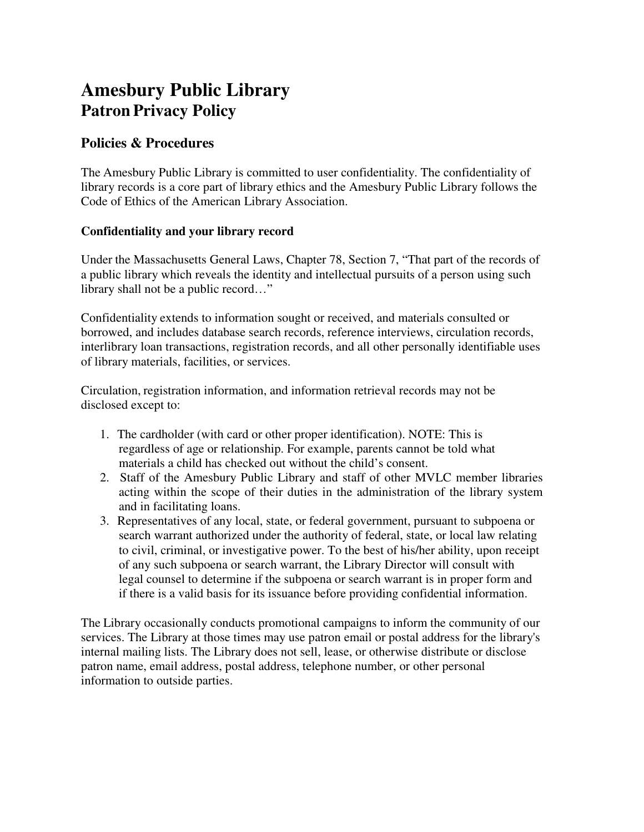# **Amesbury Public Library Patron Privacy Policy**

# **Policies & Procedures**

The Amesbury Public Library is committed to user confidentiality. The confidentiality of library records is a core part of library ethics and the Amesbury Public Library follows the Code of Ethics of the American Library Association.

## **Confidentiality and your library record**

Under the Massachusetts General Laws, Chapter 78, Section 7, "That part of the records of a public library which reveals the identity and intellectual pursuits of a person using such library shall not be a public record…"

Confidentiality extends to information sought or received, and materials consulted or borrowed, and includes database search records, reference interviews, circulation records, interlibrary loan transactions, registration records, and all other personally identifiable uses of library materials, facilities, or services.

Circulation, registration information, and information retrieval records may not be disclosed except to:

- 1. The cardholder (with card or other proper identification). NOTE: This is regardless of age or relationship. For example, parents cannot be told what materials a child has checked out without the child's consent.
- 2. Staff of the Amesbury Public Library and staff of other MVLC member libraries acting within the scope of their duties in the administration of the library system and in facilitating loans.
- 3. Representatives of any local, state, or federal government, pursuant to subpoena or search warrant authorized under the authority of federal, state, or local law relating to civil, criminal, or investigative power. To the best of his/her ability, upon receipt of any such subpoena or search warrant, the Library Director will consult with legal counsel to determine if the subpoena or search warrant is in proper form and if there is a valid basis for its issuance before providing confidential information.

The Library occasionally conducts promotional campaigns to inform the community of our services. The Library at those times may use patron email or postal address for the library's internal mailing lists. The Library does not sell, lease, or otherwise distribute or disclose patron name, email address, postal address, telephone number, or other personal information to outside parties.